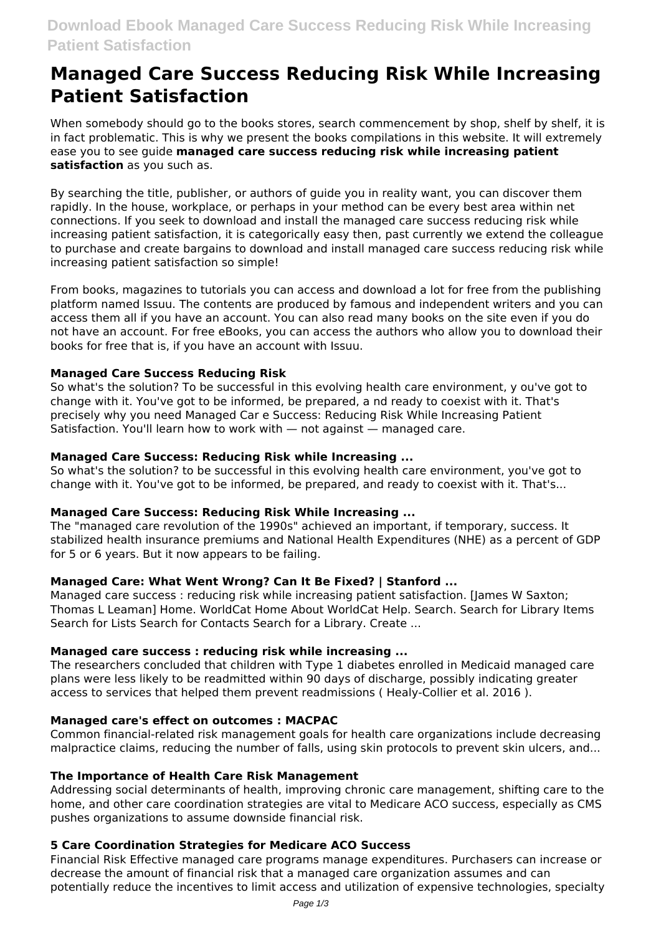# **Managed Care Success Reducing Risk While Increasing Patient Satisfaction**

When somebody should go to the books stores, search commencement by shop, shelf by shelf, it is in fact problematic. This is why we present the books compilations in this website. It will extremely ease you to see guide **managed care success reducing risk while increasing patient satisfaction** as you such as.

By searching the title, publisher, or authors of guide you in reality want, you can discover them rapidly. In the house, workplace, or perhaps in your method can be every best area within net connections. If you seek to download and install the managed care success reducing risk while increasing patient satisfaction, it is categorically easy then, past currently we extend the colleague to purchase and create bargains to download and install managed care success reducing risk while increasing patient satisfaction so simple!

From books, magazines to tutorials you can access and download a lot for free from the publishing platform named Issuu. The contents are produced by famous and independent writers and you can access them all if you have an account. You can also read many books on the site even if you do not have an account. For free eBooks, you can access the authors who allow you to download their books for free that is, if you have an account with Issuu.

## **Managed Care Success Reducing Risk**

So what's the solution? To be successful in this evolving health care environment, y ou've got to change with it. You've got to be informed, be prepared, a nd ready to coexist with it. That's precisely why you need Managed Car e Success: Reducing Risk While Increasing Patient Satisfaction. You'll learn how to work with — not against — managed care.

## **Managed Care Success: Reducing Risk while Increasing ...**

So what's the solution? to be successful in this evolving health care environment, you've got to change with it. You've got to be informed, be prepared, and ready to coexist with it. That's...

#### **Managed Care Success: Reducing Risk While Increasing ...**

The "managed care revolution of the 1990s" achieved an important, if temporary, success. It stabilized health insurance premiums and National Health Expenditures (NHE) as a percent of GDP for 5 or 6 years. But it now appears to be failing.

#### **Managed Care: What Went Wrong? Can It Be Fixed? | Stanford ...**

Managed care success : reducing risk while increasing patient satisfaction. [James W Saxton; Thomas L Leaman] Home. WorldCat Home About WorldCat Help. Search. Search for Library Items Search for Lists Search for Contacts Search for a Library. Create ...

#### **Managed care success : reducing risk while increasing ...**

The researchers concluded that children with Type 1 diabetes enrolled in Medicaid managed care plans were less likely to be readmitted within 90 days of discharge, possibly indicating greater access to services that helped them prevent readmissions ( Healy-Collier et al. 2016 ).

#### **Managed care's effect on outcomes : MACPAC**

Common financial-related risk management goals for health care organizations include decreasing malpractice claims, reducing the number of falls, using skin protocols to prevent skin ulcers, and...

#### **The Importance of Health Care Risk Management**

Addressing social determinants of health, improving chronic care management, shifting care to the home, and other care coordination strategies are vital to Medicare ACO success, especially as CMS pushes organizations to assume downside financial risk.

#### **5 Care Coordination Strategies for Medicare ACO Success**

Financial Risk Effective managed care programs manage expenditures. Purchasers can increase or decrease the amount of financial risk that a managed care organization assumes and can potentially reduce the incentives to limit access and utilization of expensive technologies, specialty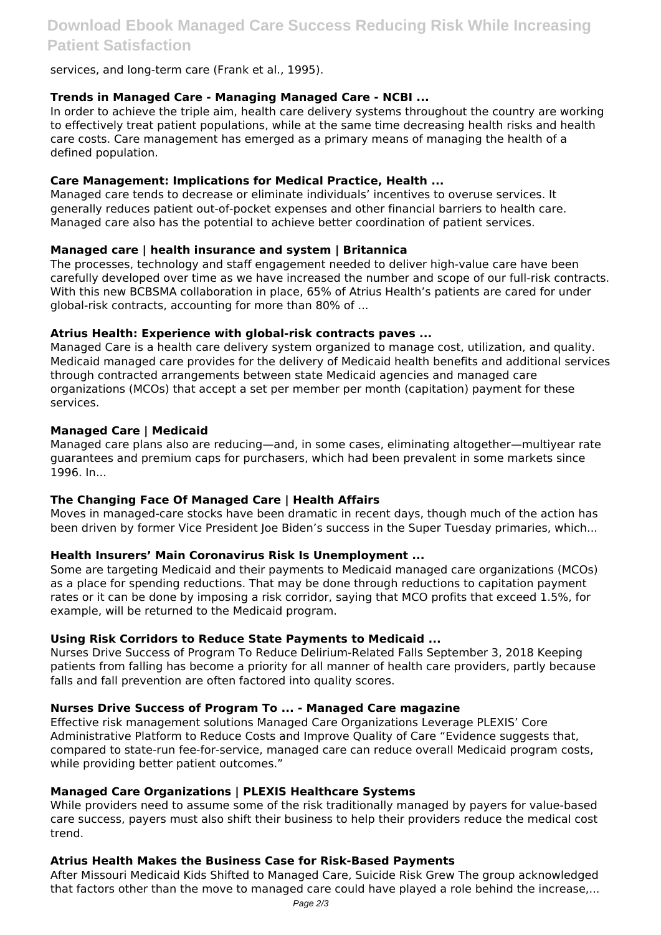# **Download Ebook Managed Care Success Reducing Risk While Increasing Patient Satisfaction**

#### services, and long-term care (Frank et al., 1995).

#### **Trends in Managed Care - Managing Managed Care - NCBI ...**

In order to achieve the triple aim, health care delivery systems throughout the country are working to effectively treat patient populations, while at the same time decreasing health risks and health care costs. Care management has emerged as a primary means of managing the health of a defined population.

#### **Care Management: Implications for Medical Practice, Health ...**

Managed care tends to decrease or eliminate individuals' incentives to overuse services. It generally reduces patient out-of-pocket expenses and other financial barriers to health care. Managed care also has the potential to achieve better coordination of patient services.

#### **Managed care | health insurance and system | Britannica**

The processes, technology and staff engagement needed to deliver high-value care have been carefully developed over time as we have increased the number and scope of our full-risk contracts. With this new BCBSMA collaboration in place, 65% of Atrius Health's patients are cared for under global-risk contracts, accounting for more than 80% of ...

#### **Atrius Health: Experience with global-risk contracts paves ...**

Managed Care is a health care delivery system organized to manage cost, utilization, and quality. Medicaid managed care provides for the delivery of Medicaid health benefits and additional services through contracted arrangements between state Medicaid agencies and managed care organizations (MCOs) that accept a set per member per month (capitation) payment for these services.

#### **Managed Care | Medicaid**

Managed care plans also are reducing—and, in some cases, eliminating altogether—multiyear rate guarantees and premium caps for purchasers, which had been prevalent in some markets since 1996. In...

#### **The Changing Face Of Managed Care | Health Affairs**

Moves in managed-care stocks have been dramatic in recent days, though much of the action has been driven by former Vice President Joe Biden's success in the Super Tuesday primaries, which...

#### **Health Insurers' Main Coronavirus Risk Is Unemployment ...**

Some are targeting Medicaid and their payments to Medicaid managed care organizations (MCOs) as a place for spending reductions. That may be done through reductions to capitation payment rates or it can be done by imposing a risk corridor, saying that MCO profits that exceed 1.5%, for example, will be returned to the Medicaid program.

#### **Using Risk Corridors to Reduce State Payments to Medicaid ...**

Nurses Drive Success of Program To Reduce Delirium-Related Falls September 3, 2018 Keeping patients from falling has become a priority for all manner of health care providers, partly because falls and fall prevention are often factored into quality scores.

#### **Nurses Drive Success of Program To ... - Managed Care magazine**

Effective risk management solutions Managed Care Organizations Leverage PLEXIS' Core Administrative Platform to Reduce Costs and Improve Quality of Care "Evidence suggests that, compared to state-run fee-for-service, managed care can reduce overall Medicaid program costs, while providing better patient outcomes."

#### **Managed Care Organizations | PLEXIS Healthcare Systems**

While providers need to assume some of the risk traditionally managed by payers for value-based care success, payers must also shift their business to help their providers reduce the medical cost trend.

#### **Atrius Health Makes the Business Case for Risk-Based Payments**

After Missouri Medicaid Kids Shifted to Managed Care, Suicide Risk Grew The group acknowledged that factors other than the move to managed care could have played a role behind the increase,...